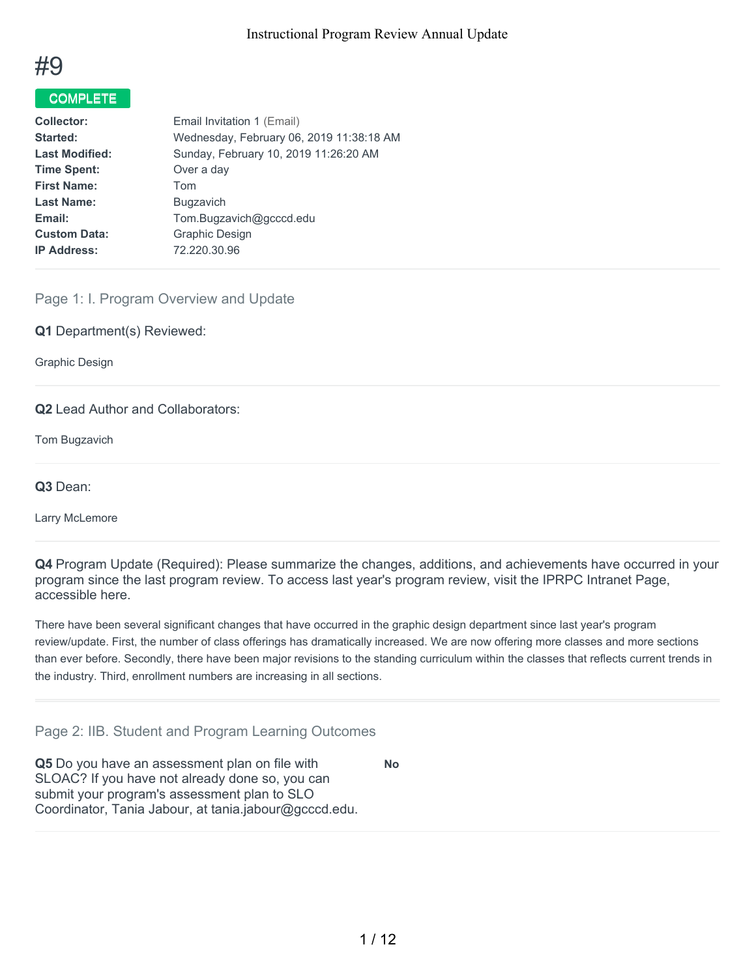

# COMPLETE

| <b>Collector:</b>     | Email Invitation 1 (Email)               |
|-----------------------|------------------------------------------|
| Started:              | Wednesday, February 06, 2019 11:38:18 AM |
| <b>Last Modified:</b> | Sunday, February 10, 2019 11:26:20 AM    |
| <b>Time Spent:</b>    | Over a day                               |
| <b>First Name:</b>    | Tom                                      |
| <b>Last Name:</b>     | <b>Bugzavich</b>                         |
| Email:                | Tom.Bugzavich@gcccd.edu                  |
| <b>Custom Data:</b>   | Graphic Design                           |
| <b>IP Address:</b>    | 72.220.30.96                             |
|                       |                                          |

# Page 1: I. Program Overview and Update

#### **Q1** Department(s) Reviewed:

Graphic Design

# **Q2** Lead Author and Collaborators:

Tom Bugzavich

**Q3** Dean:

Larry McLemore

**Q4** Program Update (Required): Please summarize the changes, additions, and achievements have occurred in your program since the last program review. To access last year's program review, visit the IPRPC Intranet Page, accessible here.

There have been several significant changes that have occurred in the graphic design department since last year's program review/update. First, the number of class offerings has dramatically increased. We are now offering more classes and more sections than ever before. Secondly, there have been major revisions to the standing curriculum within the classes that reflects current trends in the industry. Third, enrollment numbers are increasing in all sections.

#### Page 2: IIB. Student and Program Learning Outcomes

**Q5** Do you have an assessment plan on file with SLOAC? If you have not already done so, you can submit your program's assessment plan to SLO Coordinator, Tania Jabour, at tania.jabour@gcccd.edu. **No**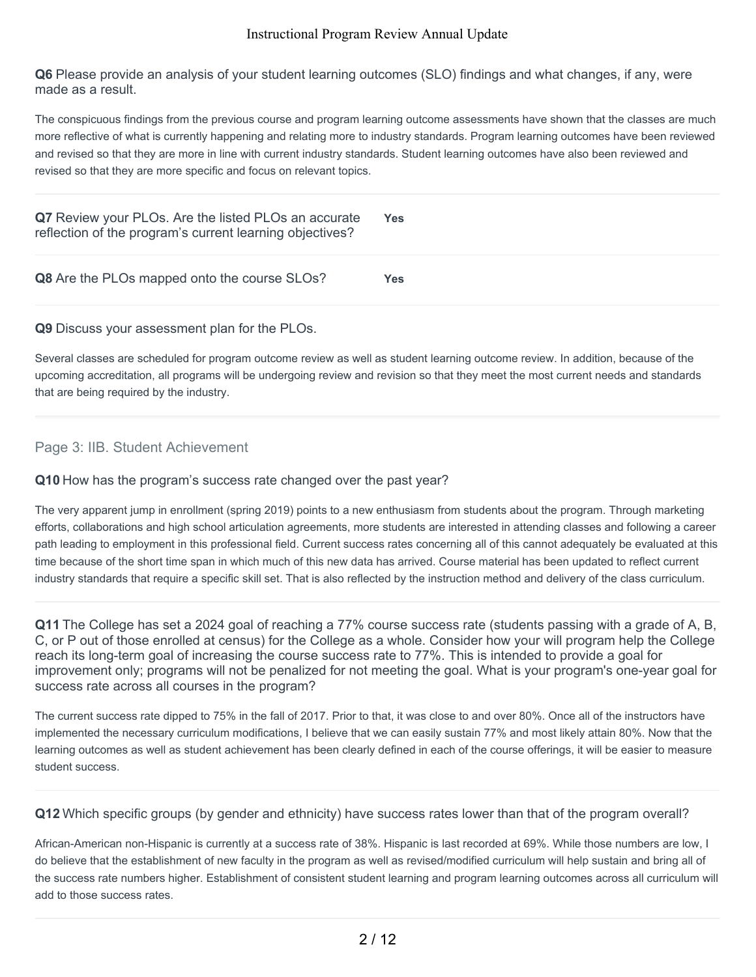**Q6** Please provide an analysis of your student learning outcomes (SLO) findings and what changes, if any, were made as a result.

The conspicuous findings from the previous course and program learning outcome assessments have shown that the classes are much more reflective of what is currently happening and relating more to industry standards. Program learning outcomes have been reviewed and revised so that they are more in line with current industry standards. Student learning outcomes have also been reviewed and revised so that they are more specific and focus on relevant topics.

| Q7 Review your PLOs. Are the listed PLOs an accurate<br>reflection of the program's current learning objectives? | Yes |
|------------------------------------------------------------------------------------------------------------------|-----|
| <b>Q8</b> Are the PLOs mapped onto the course SLOs?                                                              | Yes |

# **Q9** Discuss your assessment plan for the PLOs.

Several classes are scheduled for program outcome review as well as student learning outcome review. In addition, because of the upcoming accreditation, all programs will be undergoing review and revision so that they meet the most current needs and standards that are being required by the industry.

# Page 3: IIB. Student Achievement

#### **Q10** How has the program's success rate changed over the past year?

The very apparent jump in enrollment (spring 2019) points to a new enthusiasm from students about the program. Through marketing efforts, collaborations and high school articulation agreements, more students are interested in attending classes and following a career path leading to employment in this professional field. Current success rates concerning all of this cannot adequately be evaluated at this time because of the short time span in which much of this new data has arrived. Course material has been updated to reflect current industry standards that require a specific skill set. That is also reflected by the instruction method and delivery of the class curriculum.

**Q11** The College has set a 2024 goal of reaching a 77% course success rate (students passing with a grade of A, B, C, or P out of those enrolled at census) for the College as a whole. Consider how your will program help the College reach its long-term goal of increasing the course success rate to 77%. This is intended to provide a goal for improvement only; programs will not be penalized for not meeting the goal. What is your program's one-year goal for success rate across all courses in the program?

The current success rate dipped to 75% in the fall of 2017. Prior to that, it was close to and over 80%. Once all of the instructors have implemented the necessary curriculum modifications, I believe that we can easily sustain 77% and most likely attain 80%. Now that the learning outcomes as well as student achievement has been clearly defined in each of the course offerings, it will be easier to measure student success.

#### **Q12** Which specific groups (by gender and ethnicity) have success rates lower than that of the program overall?

African-American non-Hispanic is currently at a success rate of 38%. Hispanic is last recorded at 69%. While those numbers are low, I do believe that the establishment of new faculty in the program as well as revised/modified curriculum will help sustain and bring all of the success rate numbers higher. Establishment of consistent student learning and program learning outcomes across all curriculum will add to those success rates.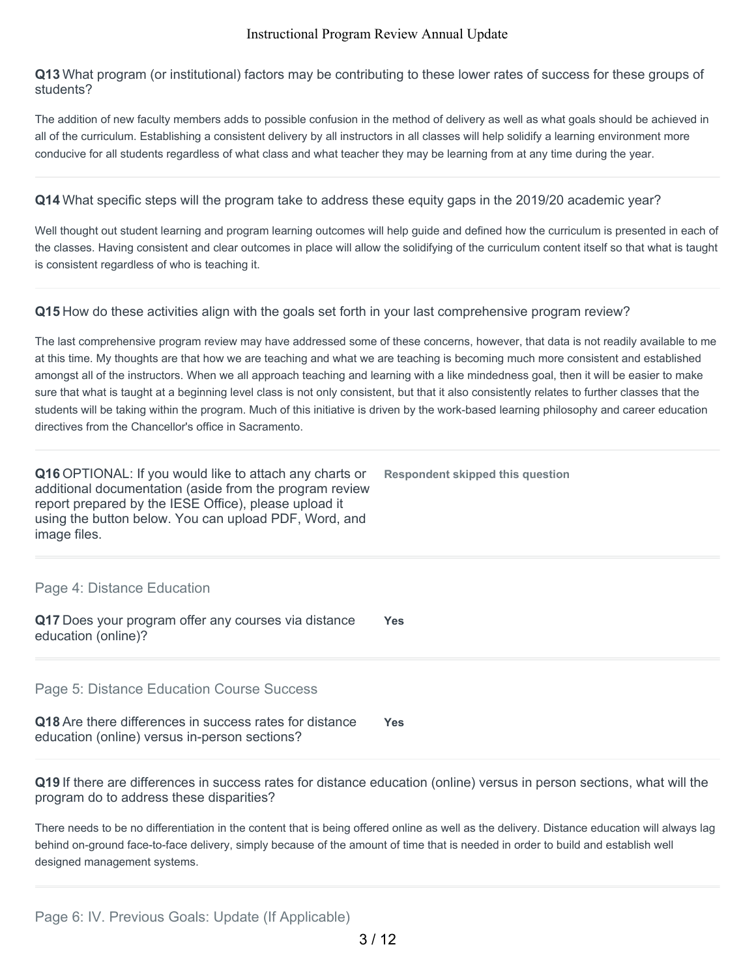**Q13** What program (or institutional) factors may be contributing to these lower rates of success for these groups of students?

The addition of new faculty members adds to possible confusion in the method of delivery as well as what goals should be achieved in all of the curriculum. Establishing a consistent delivery by all instructors in all classes will help solidify a learning environment more conducive for all students regardless of what class and what teacher they may be learning from at any time during the year.

**Q14** What specific steps will the program take to address these equity gaps in the 2019/20 academic year?

Well thought out student learning and program learning outcomes will help guide and defined how the curriculum is presented in each of the classes. Having consistent and clear outcomes in place will allow the solidifying of the curriculum content itself so that what is taught is consistent regardless of who is teaching it.

# **Q15** How do these activities align with the goals set forth in your last comprehensive program review?

The last comprehensive program review may have addressed some of these concerns, however, that data is not readily available to me at this time. My thoughts are that how we are teaching and what we are teaching is becoming much more consistent and established amongst all of the instructors. When we all approach teaching and learning with a like mindedness goal, then it will be easier to make sure that what is taught at a beginning level class is not only consistent, but that it also consistently relates to further classes that the students will be taking within the program. Much of this initiative is driven by the work-based learning philosophy and career education directives from the Chancellor's office in Sacramento.

| Q16 OPTIONAL: If you would like to attach any charts or<br>additional documentation (aside from the program review<br>report prepared by the IESE Office), please upload it<br>using the button below. You can upload PDF, Word, and<br>image files. | Respondent skipped this question |
|------------------------------------------------------------------------------------------------------------------------------------------------------------------------------------------------------------------------------------------------------|----------------------------------|
|                                                                                                                                                                                                                                                      |                                  |

# Page 4: Distance Education

**Q17** Does your program offer any courses via distance education (online)? **Yes**

Page 5: Distance Education Course Success

| Q18 Are there differences in success rates for distance | <b>Yes</b> |
|---------------------------------------------------------|------------|
| education (online) versus in-person sections?           |            |

**Q19** If there are differences in success rates for distance education (online) versus in person sections, what will the program do to address these disparities?

There needs to be no differentiation in the content that is being offered online as well as the delivery. Distance education will always lag behind on-ground face-to-face delivery, simply because of the amount of time that is needed in order to build and establish well designed management systems.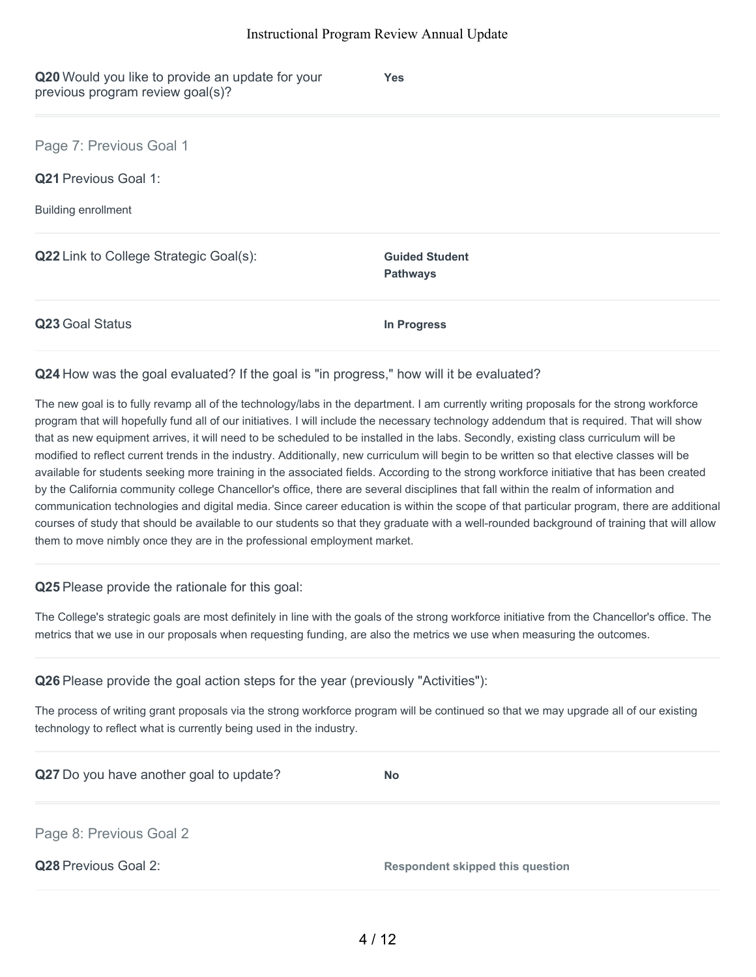| Q20 Would you like to provide an update for your<br>previous program review goal(s)? | <b>Yes</b>                               |
|--------------------------------------------------------------------------------------|------------------------------------------|
| Page 7: Previous Goal 1                                                              |                                          |
| <b>Q21</b> Previous Goal 1:                                                          |                                          |
| <b>Building enrollment</b>                                                           |                                          |
| <b>Q22</b> Link to College Strategic Goal(s):                                        | <b>Guided Student</b><br><b>Pathways</b> |
| Q23 Goal Status                                                                      | In Progress                              |

#### **Q24** How was the goal evaluated? If the goal is "in progress," how will it be evaluated?

The new goal is to fully revamp all of the technology/labs in the department. I am currently writing proposals for the strong workforce program that will hopefully fund all of our initiatives. I will include the necessary technology addendum that is required. That will show that as new equipment arrives, it will need to be scheduled to be installed in the labs. Secondly, existing class curriculum will be modified to reflect current trends in the industry. Additionally, new curriculum will begin to be written so that elective classes will be available for students seeking more training in the associated fields. According to the strong workforce initiative that has been created by the California community college Chancellor's office, there are several disciplines that fall within the realm of information and communication technologies and digital media. Since career education is within the scope of that particular program, there are additional courses of study that should be available to our students so that they graduate with a well-rounded background of training that will allow them to move nimbly once they are in the professional employment market.

#### **Q25** Please provide the rationale for this goal:

The College's strategic goals are most definitely in line with the goals of the strong workforce initiative from the Chancellor's office. The metrics that we use in our proposals when requesting funding, are also the metrics we use when measuring the outcomes.

| Q26 Please provide the goal action steps for the year (previously "Activities"): |  |  |  |  |
|----------------------------------------------------------------------------------|--|--|--|--|
|----------------------------------------------------------------------------------|--|--|--|--|

The process of writing grant proposals via the strong workforce program will be continued so that we may upgrade all of our existing technology to reflect what is currently being used in the industry.

| Q27 Do you have another goal to update? | <b>No</b>                               |
|-----------------------------------------|-----------------------------------------|
| Page 8: Previous Goal 2                 |                                         |
| Q28 Previous Goal 2:                    | <b>Respondent skipped this question</b> |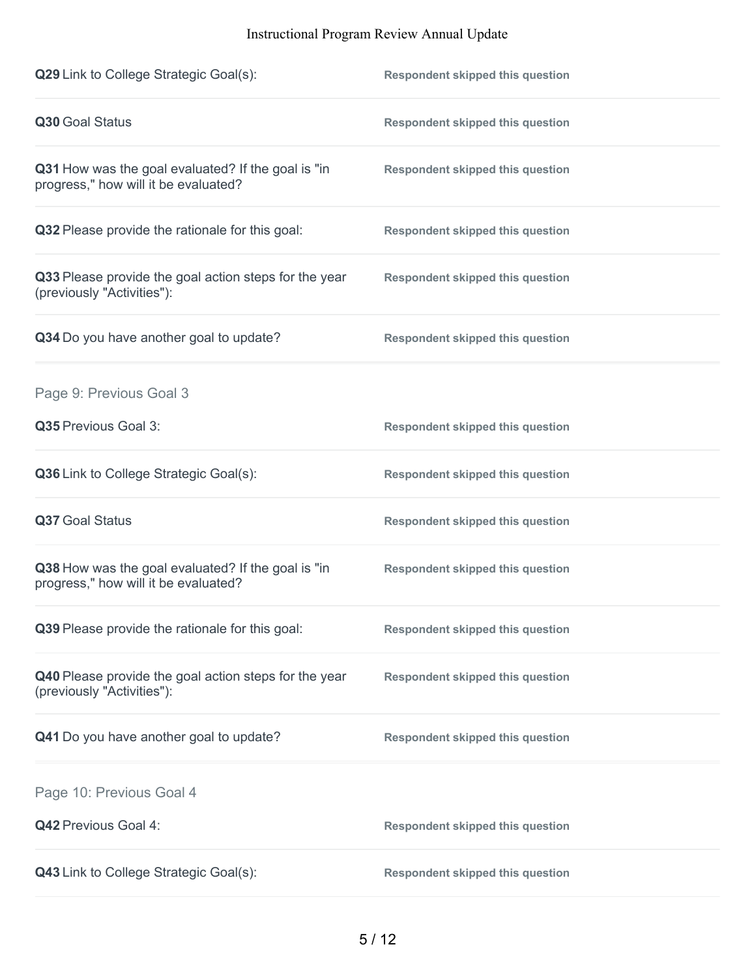| Q29 Link to College Strategic Goal(s):                                                     | <b>Respondent skipped this question</b> |
|--------------------------------------------------------------------------------------------|-----------------------------------------|
| Q30 Goal Status                                                                            | <b>Respondent skipped this question</b> |
| Q31 How was the goal evaluated? If the goal is "in<br>progress," how will it be evaluated? | <b>Respondent skipped this question</b> |
| Q32 Please provide the rationale for this goal:                                            | <b>Respondent skipped this question</b> |
| Q33 Please provide the goal action steps for the year<br>(previously "Activities"):        | <b>Respondent skipped this question</b> |
| Q34 Do you have another goal to update?                                                    | <b>Respondent skipped this question</b> |
| Page 9: Previous Goal 3                                                                    |                                         |
| Q35 Previous Goal 3:                                                                       | <b>Respondent skipped this question</b> |
| Q36 Link to College Strategic Goal(s):                                                     | <b>Respondent skipped this question</b> |
| Q37 Goal Status                                                                            | <b>Respondent skipped this question</b> |
| Q38 How was the goal evaluated? If the goal is "in<br>progress," how will it be evaluated? | <b>Respondent skipped this question</b> |
| Q39 Please provide the rationale for this goal:                                            | <b>Respondent skipped this question</b> |
| Q40 Please provide the goal action steps for the year<br>(previously "Activities"):        | <b>Respondent skipped this question</b> |
| Q41 Do you have another goal to update?                                                    | <b>Respondent skipped this question</b> |
| Page 10: Previous Goal 4                                                                   |                                         |
| Q42 Previous Goal 4:                                                                       | <b>Respondent skipped this question</b> |
| Q43 Link to College Strategic Goal(s):                                                     | <b>Respondent skipped this question</b> |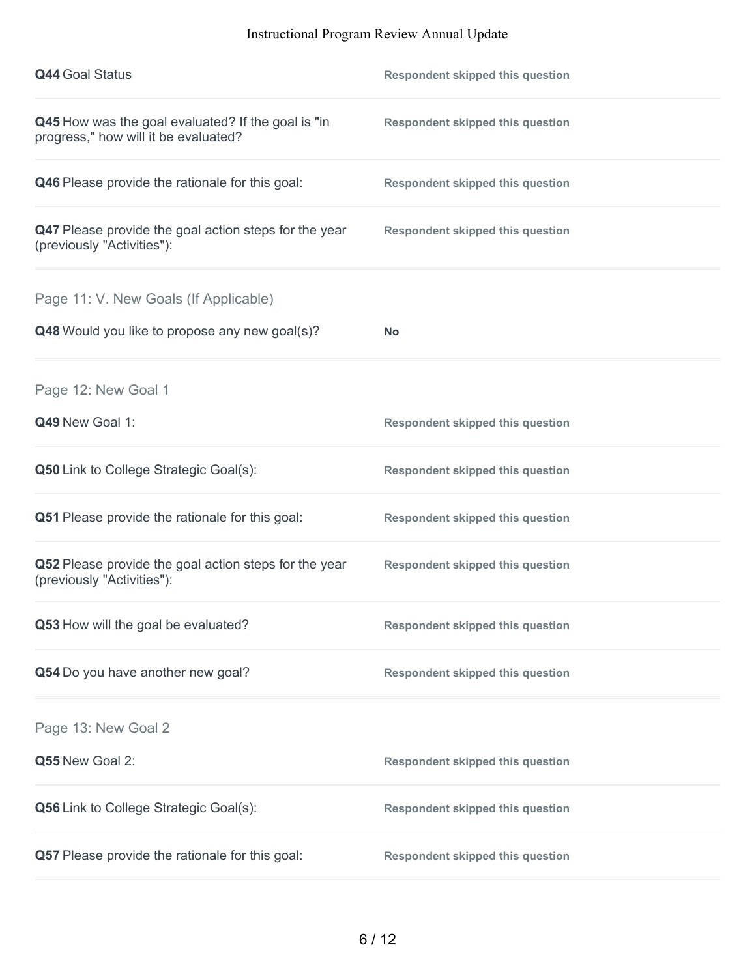| <b>Q44 Goal Status</b>                                                                     | <b>Respondent skipped this question</b> |
|--------------------------------------------------------------------------------------------|-----------------------------------------|
| Q45 How was the goal evaluated? If the goal is "in<br>progress," how will it be evaluated? | <b>Respondent skipped this question</b> |
| Q46 Please provide the rationale for this goal:                                            | <b>Respondent skipped this question</b> |
| Q47 Please provide the goal action steps for the year<br>(previously "Activities"):        | <b>Respondent skipped this question</b> |
| Page 11: V. New Goals (If Applicable)                                                      |                                         |
| Q48 Would you like to propose any new goal(s)?                                             | <b>No</b>                               |
| Page 12: New Goal 1                                                                        |                                         |
| Q49 New Goal 1:                                                                            | <b>Respondent skipped this question</b> |
| <b>Q50</b> Link to College Strategic Goal(s):                                              | <b>Respondent skipped this question</b> |
| Q51 Please provide the rationale for this goal:                                            | <b>Respondent skipped this question</b> |
| Q52 Please provide the goal action steps for the year<br>(previously "Activities"):        | <b>Respondent skipped this question</b> |
| Q53 How will the goal be evaluated?                                                        | <b>Respondent skipped this question</b> |
| Q54 Do you have another new goal?                                                          | <b>Respondent skipped this question</b> |
| Page 13: New Goal 2                                                                        |                                         |
| Q55 New Goal 2:                                                                            | <b>Respondent skipped this question</b> |
| <b>Q56</b> Link to College Strategic Goal(s):                                              | <b>Respondent skipped this question</b> |
| Q57 Please provide the rationale for this goal:                                            | <b>Respondent skipped this question</b> |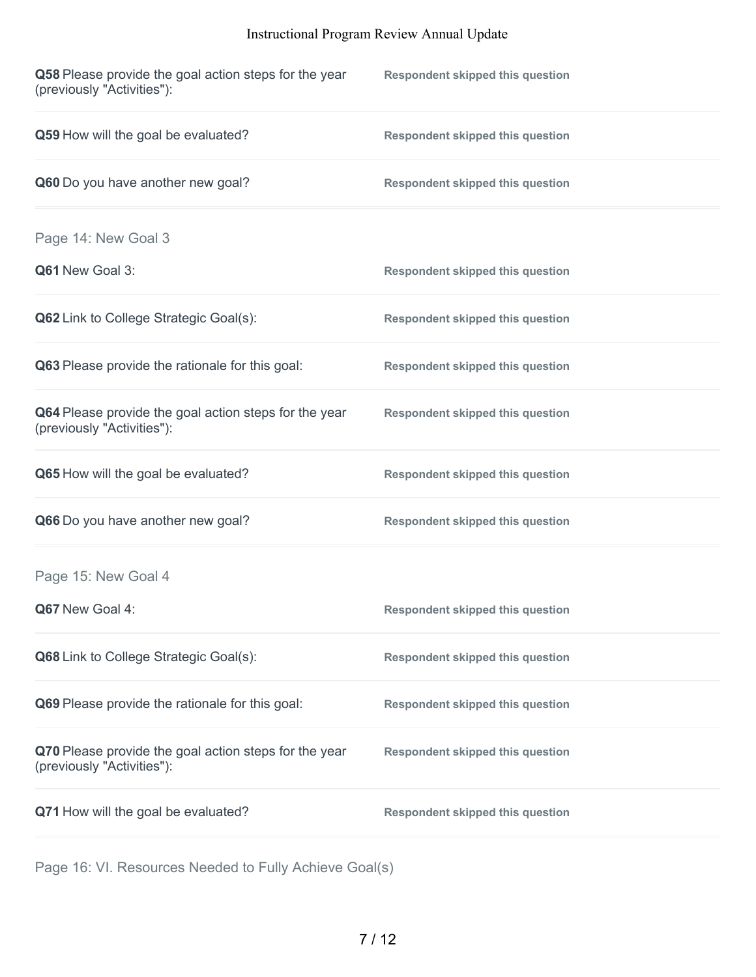| Q58 Please provide the goal action steps for the year<br>(previously "Activities"): | <b>Respondent skipped this question</b> |
|-------------------------------------------------------------------------------------|-----------------------------------------|
| Q59 How will the goal be evaluated?                                                 | <b>Respondent skipped this question</b> |
| Q60 Do you have another new goal?                                                   | <b>Respondent skipped this question</b> |
| Page 14: New Goal 3                                                                 |                                         |
| Q61 New Goal 3:                                                                     | <b>Respondent skipped this question</b> |
| Q62 Link to College Strategic Goal(s):                                              | <b>Respondent skipped this question</b> |
| Q63 Please provide the rationale for this goal:                                     | <b>Respondent skipped this question</b> |
| Q64 Please provide the goal action steps for the year<br>(previously "Activities"): | <b>Respondent skipped this question</b> |
| Q65 How will the goal be evaluated?                                                 | <b>Respondent skipped this question</b> |
| Q66 Do you have another new goal?                                                   | <b>Respondent skipped this question</b> |
| Page 15: New Goal 4                                                                 |                                         |
| Q67 New Goal 4:                                                                     | <b>Respondent skipped this question</b> |
| Q68 Link to College Strategic Goal(s):                                              | <b>Respondent skipped this question</b> |
| Q69 Please provide the rationale for this goal:                                     | <b>Respondent skipped this question</b> |
| Q70 Please provide the goal action steps for the year<br>(previously "Activities"): | <b>Respondent skipped this question</b> |
| Q71 How will the goal be evaluated?                                                 | <b>Respondent skipped this question</b> |

Page 16: VI. Resources Needed to Fully Achieve Goal(s)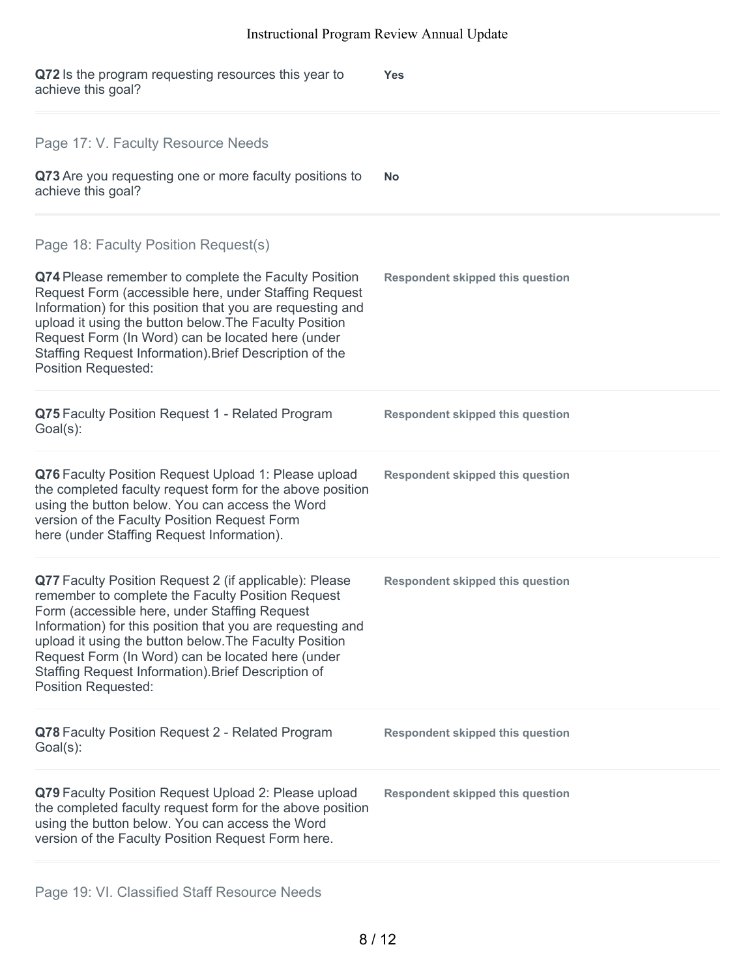| Q72 Is the program requesting resources this year to<br>achieve this goal?                                                                                                                                                                                                                                                                                                                                                     | <b>Yes</b>                              |
|--------------------------------------------------------------------------------------------------------------------------------------------------------------------------------------------------------------------------------------------------------------------------------------------------------------------------------------------------------------------------------------------------------------------------------|-----------------------------------------|
| Page 17: V. Faculty Resource Needs<br>Q73 Are you requesting one or more faculty positions to<br>achieve this goal?                                                                                                                                                                                                                                                                                                            | No.                                     |
| Page 18: Faculty Position Request(s)<br>Q74 Please remember to complete the Faculty Position<br>Request Form (accessible here, under Staffing Request<br>Information) for this position that you are requesting and<br>upload it using the button below. The Faculty Position<br>Request Form (In Word) can be located here (under<br>Staffing Request Information). Brief Description of the<br><b>Position Requested:</b>    | <b>Respondent skipped this question</b> |
| Q75 Faculty Position Request 1 - Related Program<br>$Goal(s)$ :                                                                                                                                                                                                                                                                                                                                                                | <b>Respondent skipped this question</b> |
| Q76 Faculty Position Request Upload 1: Please upload<br>the completed faculty request form for the above position<br>using the button below. You can access the Word<br>version of the Faculty Position Request Form<br>here (under Staffing Request Information).                                                                                                                                                             | <b>Respondent skipped this question</b> |
| Q77 Faculty Position Request 2 (if applicable): Please<br>remember to complete the Faculty Position Request<br>Form (accessible here, under Staffing Request<br>Information) for this position that you are requesting and<br>upload it using the button below. The Faculty Position<br>Request Form (In Word) can be located here (under<br>Staffing Request Information). Brief Description of<br><b>Position Requested:</b> | <b>Respondent skipped this question</b> |
| Q78 Faculty Position Request 2 - Related Program<br>$Goal(s)$ :                                                                                                                                                                                                                                                                                                                                                                | <b>Respondent skipped this question</b> |
| Q79 Faculty Position Request Upload 2: Please upload<br>the completed faculty request form for the above position<br>using the button below. You can access the Word<br>version of the Faculty Position Request Form here.                                                                                                                                                                                                     | <b>Respondent skipped this question</b> |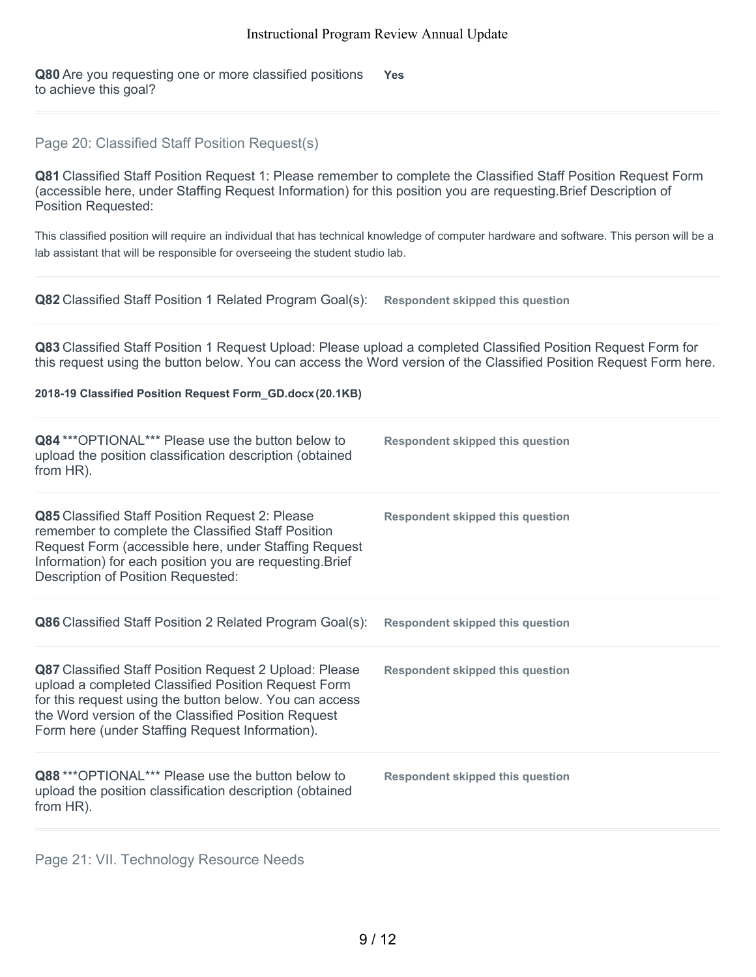**Q80** Are you requesting one or more classified positions to achieve this goal? **Yes**

# Page 20: Classified Staff Position Request(s)

**Q81** Classified Staff Position Request 1: Please remember to complete the Classified Staff Position Request Form (accessible here, under Staffing Request Information) for this position you are requesting.Brief Description of Position Requested:

This classified position will require an individual that has technical knowledge of computer hardware and software. This person will be a lab assistant that will be responsible for overseeing the student studio lab.

| Q82 Classified Staff Position 1 Related Program Goal(s):                                                                                                                                                                                                                           | <b>Respondent skipped this question</b>                                                                            |
|------------------------------------------------------------------------------------------------------------------------------------------------------------------------------------------------------------------------------------------------------------------------------------|--------------------------------------------------------------------------------------------------------------------|
| Q83 Classified Staff Position 1 Request Upload: Please upload a completed Classified Position Request Form for                                                                                                                                                                     | this request using the button below. You can access the Word version of the Classified Position Request Form here. |
| 2018-19 Classified Position Request Form_GD.docx (20.1KB)                                                                                                                                                                                                                          |                                                                                                                    |
| Q84 *** OPTIONAL*** Please use the button below to<br>upload the position classification description (obtained<br>from HR).                                                                                                                                                        | <b>Respondent skipped this question</b>                                                                            |
| Q85 Classified Staff Position Request 2: Please<br>remember to complete the Classified Staff Position<br>Request Form (accessible here, under Staffing Request<br>Information) for each position you are requesting. Brief<br><b>Description of Position Requested:</b>            | <b>Respondent skipped this question</b>                                                                            |
| Q86 Classified Staff Position 2 Related Program Goal(s):                                                                                                                                                                                                                           | <b>Respondent skipped this question</b>                                                                            |
| Q87 Classified Staff Position Request 2 Upload: Please<br>upload a completed Classified Position Request Form<br>for this request using the button below. You can access<br>the Word version of the Classified Position Request<br>Form here (under Staffing Request Information). | <b>Respondent skipped this question</b>                                                                            |
| Q88 *** OPTIONAL*** Please use the button below to<br>upload the position classification description (obtained<br>from HR).                                                                                                                                                        | <b>Respondent skipped this question</b>                                                                            |

Page 21: VII. Technology Resource Needs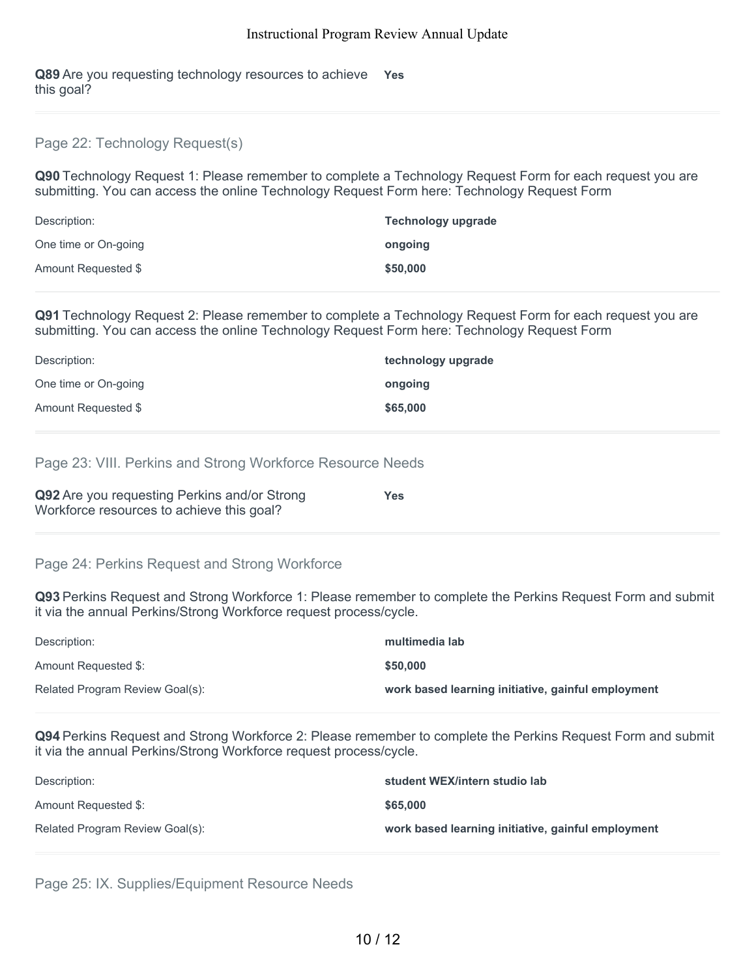**Q89** Are you requesting technology resources to achieve **Yes** this goal?

#### Page 22: Technology Request(s)

**Q90** Technology Request 1: Please remember to complete a Technology Request Form for each request you are submitting. You can access the online Technology Request Form here: Technology Request Form

| Description:         | <b>Technology upgrade</b> |
|----------------------|---------------------------|
| One time or On-going | ongoing                   |
| Amount Requested \$  | \$50,000                  |

**Q91** Technology Request 2: Please remember to complete a Technology Request Form for each request you are submitting. You can access the online Technology Request Form here: Technology Request Form

| Description:         | technology upgrade |
|----------------------|--------------------|
| One time or On-going | ongoing            |
| Amount Requested \$  | \$65,000           |

#### Page 23: VIII. Perkins and Strong Workforce Resource Needs

| Q92 Are you requesting Perkins and/or Strong | <b>Yes</b> |
|----------------------------------------------|------------|
| Workforce resources to achieve this goal?    |            |

# Page 24: Perkins Request and Strong Workforce

**Q93** Perkins Request and Strong Workforce 1: Please remember to complete the Perkins Request Form and submit it via the annual Perkins/Strong Workforce request process/cycle.

| Description:                    | multimedia lab                                     |
|---------------------------------|----------------------------------------------------|
| Amount Requested \$:            | \$50,000                                           |
| Related Program Review Goal(s): | work based learning initiative, gainful employment |

**Q94** Perkins Request and Strong Workforce 2: Please remember to complete the Perkins Request Form and submit it via the annual Perkins/Strong Workforce request process/cycle.

| Description:                    | student WEX/intern studio lab                      |
|---------------------------------|----------------------------------------------------|
| Amount Requested \$:            | \$65,000                                           |
| Related Program Review Goal(s): | work based learning initiative, gainful employment |

Page 25: IX. Supplies/Equipment Resource Needs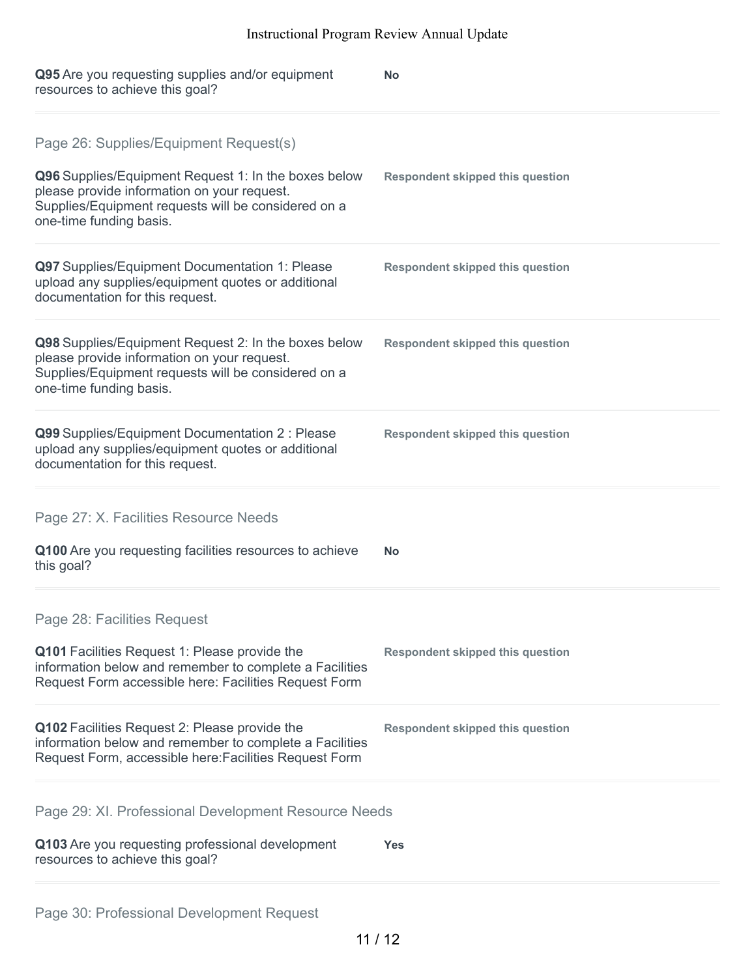| Q95 Are you requesting supplies and/or equipment<br>resources to achieve this goal?                                                                                                                                             | <b>No</b>                               |
|---------------------------------------------------------------------------------------------------------------------------------------------------------------------------------------------------------------------------------|-----------------------------------------|
| Page 26: Supplies/Equipment Request(s)<br>Q96 Supplies/Equipment Request 1: In the boxes below<br>please provide information on your request.<br>Supplies/Equipment requests will be considered on a<br>one-time funding basis. | <b>Respondent skipped this question</b> |
| Q97 Supplies/Equipment Documentation 1: Please<br>upload any supplies/equipment quotes or additional<br>documentation for this request.                                                                                         | <b>Respondent skipped this question</b> |
| Q98 Supplies/Equipment Request 2: In the boxes below<br>please provide information on your request.<br>Supplies/Equipment requests will be considered on a<br>one-time funding basis.                                           | <b>Respondent skipped this question</b> |
| Q99 Supplies/Equipment Documentation 2 : Please<br>upload any supplies/equipment quotes or additional<br>documentation for this request.                                                                                        | <b>Respondent skipped this question</b> |
| Page 27: X. Facilities Resource Needs                                                                                                                                                                                           |                                         |
| Q100 Are you requesting facilities resources to achieve<br>this goal?                                                                                                                                                           | <b>No</b>                               |
| Page 28: Facilities Request<br>Q101 Facilities Request 1: Please provide the<br>information below and remember to complete a Facilities<br>Request Form accessible here: Facilities Request Form                                | <b>Respondent skipped this question</b> |
| Q102 Facilities Request 2: Please provide the<br>information below and remember to complete a Facilities<br>Request Form, accessible here: Facilities Request Form                                                              | <b>Respondent skipped this question</b> |
| Page 29: XI. Professional Development Resource Needs                                                                                                                                                                            |                                         |
| Q103 Are you requesting professional development<br>resources to achieve this goal?                                                                                                                                             | <b>Yes</b>                              |
|                                                                                                                                                                                                                                 |                                         |